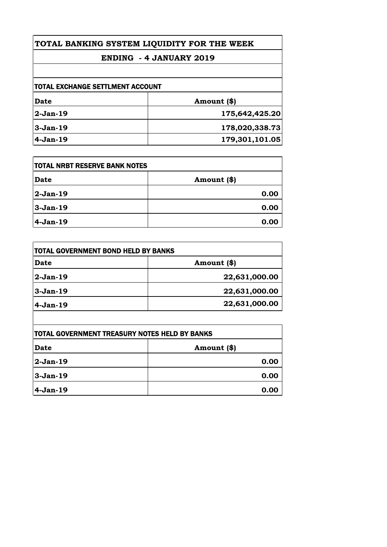### **ENDING - 4 JANUARY 2019**

| ITOTAL EXCHANGE SETTLMENT ACCOUNT |                |
|-----------------------------------|----------------|
| Date                              | Amount (\$)    |
| 2-Jan-19                          | 175,642,425.20 |
| $3-Jan-19$                        | 178,020,338.73 |
| 4-Jan-19                          | 179,301,101.05 |

| <b>ITOTAL NRBT RESERVE BANK NOTES</b> |             |
|---------------------------------------|-------------|
| <b>Date</b>                           | Amount (\$) |
| 2-Jan-19                              | 0.00        |
| $3-Jan-19$                            | 0.00        |
| 4-Jan-19                              | 0.00        |

| TOTAL GOVERNMENT BOND HELD BY BANKS |               |
|-------------------------------------|---------------|
| Date                                | Amount (\$)   |
| 2-Jan-19                            | 22,631,000.00 |
| $3-Jan-19$                          | 22,631,000.00 |
| $4-Jan-19$                          | 22,631,000.00 |
|                                     |               |

| TOTAL GOVERNMENT TREASURY NOTES HELD BY BANKS |               |
|-----------------------------------------------|---------------|
| Date                                          | Amount $(\$)$ |
| 2-Jan-19                                      | 0.00          |
| 3-Jan-19                                      | 0.00          |
| $4-Jan-19$                                    | 0.00          |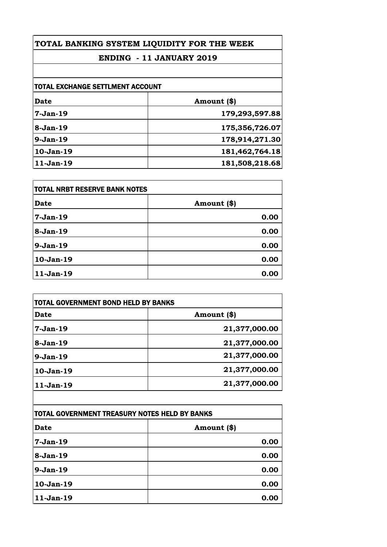### **ENDING - 11 JANUARY 2019**

| <b>TOTAL EXCHANGE SETTLMENT ACCOUNT</b> |                |
|-----------------------------------------|----------------|
| Date                                    | Amount (\$)    |
| $7-Jan-19$                              | 179,293,597.88 |
| 8-Jan-19                                | 175,356,726.07 |
| $9-Jan-19$                              | 178,914,271.30 |
| 10-Jan-19                               | 181,462,764.18 |
| 11-Jan-19                               | 181,508,218.68 |

| <b>TOTAL NRBT RESERVE BANK NOTES</b> |             |
|--------------------------------------|-------------|
| <b>Date</b>                          | Amount (\$) |
| $7-Jan-19$                           | 0.00        |
| $8-Jan-19$                           | 0.00        |
| $9-Jan-19$                           | 0.00        |
| 10-Jan-19                            | 0.00        |
| 11-Jan-19                            | 0.00        |

| Amount (\$)   |
|---------------|
|               |
| 21,377,000.00 |
| 21,377,000.00 |
| 21,377,000.00 |
| 21,377,000.00 |
| 21,377,000.00 |
|               |

| TOTAL GOVERNMENT TREASURY NOTES HELD BY BANKS |             |
|-----------------------------------------------|-------------|
| <b>Date</b>                                   | Amount (\$) |
| $7-Jan-19$                                    | 0.00        |
| $8-Jan-19$                                    | 0.00        |
| $9-Jan-19$                                    | 0.00        |
| 10-Jan-19                                     | 0.00        |
| 11-Jan-19                                     | 0.00        |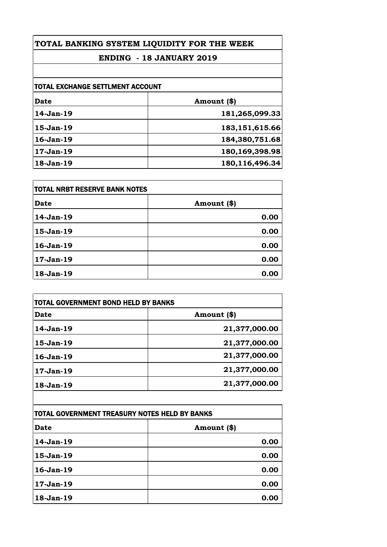### **ENDING - 18 JANUARY 2019**

| <b>TOTAL EXCHANGE SETTLMENT ACCOUNT</b> |                   |
|-----------------------------------------|-------------------|
| Date                                    | Amount (\$)       |
| 14-Jan-19                               | 181,265,099.33    |
| 15-Jan-19                               | 183, 151, 615.66  |
| $16$ -Jan- $19$                         | 184,380,751.68    |
| $17-Jan-19$                             | 180, 169, 398. 98 |
| 18-Jan-19                               | 180,116,496.34    |

| <b>TOTAL NRBT RESERVE BANK NOTES</b> |             |
|--------------------------------------|-------------|
| <b>Date</b>                          | Amount (\$) |
| 14-Jan-19                            | 0.00        |
| 15-Jan-19                            | 0.00        |
| 16-Jan-19                            | 0.00        |
| 17-Jan-19                            | 0.00        |
| 18-Jan-19                            | 0.00        |

| <b>TOTAL GOVERNMENT BOND HELD BY BANKS</b> |               |
|--------------------------------------------|---------------|
| <b>Date</b>                                | Amount (\$)   |
| $14-Jan-19$                                | 21,377,000.00 |
| 15-Jan-19                                  | 21,377,000.00 |
| $16$ -Jan- $19$                            | 21,377,000.00 |
| 17-Jan-19                                  | 21,377,000.00 |
| 18-Jan-19                                  | 21,377,000.00 |

| TOTAL GOVERNMENT TREASURY NOTES HELD BY BANKS |              |
|-----------------------------------------------|--------------|
| <b>Date</b>                                   | Amount $(*)$ |
| 14-Jan-19                                     | 0.00         |
| 15-Jan-19                                     | 0.00         |
| 16-Jan-19                                     | 0.00         |
| 17-Jan-19                                     | 0.00         |
| 18-Jan-19                                     | 0.00         |